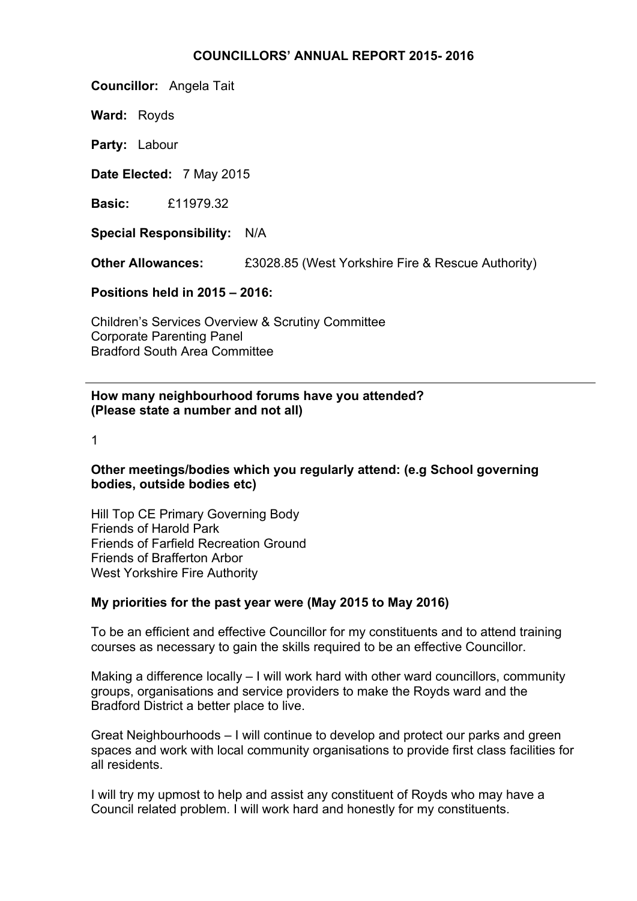### **COUNCILLORS' ANNUAL REPORT 2015- 2016**

**Councillor:** Angela Tait

**Ward:** Royds

**Party:** Labour

**Date Elected:** 7 May 2015

**Basic:** £11979.32

**Special Responsibility:** N/A

**Other Allowances:** £3028.85 (West Yorkshire Fire & Rescue Authority)

**Positions held in 2015 – 2016:**

Children's Services Overview & Scrutiny Committee Corporate Parenting Panel Bradford South Area Committee

## **How many neighbourhood forums have you attended? (Please state a number and not all)**

1

# **Other meetings/bodies which you regularly attend: (e.g School governing bodies, outside bodies etc)**

Hill Top CE Primary Governing Body Friends of Harold Park Friends of Farfield Recreation Ground Friends of Brafferton Arbor West Yorkshire Fire Authority

# **My priorities for the past year were (May 2015 to May 2016)**

To be an efficient and effective Councillor for my constituents and to attend training courses as necessary to gain the skills required to be an effective Councillor.

Making a difference locally – I will work hard with other ward councillors, community groups, organisations and service providers to make the Royds ward and the Bradford District a better place to live.

Great Neighbourhoods – I will continue to develop and protect our parks and green spaces and work with local community organisations to provide first class facilities for all residents.

I will try my upmost to help and assist any constituent of Royds who may have a Council related problem. I will work hard and honestly for my constituents.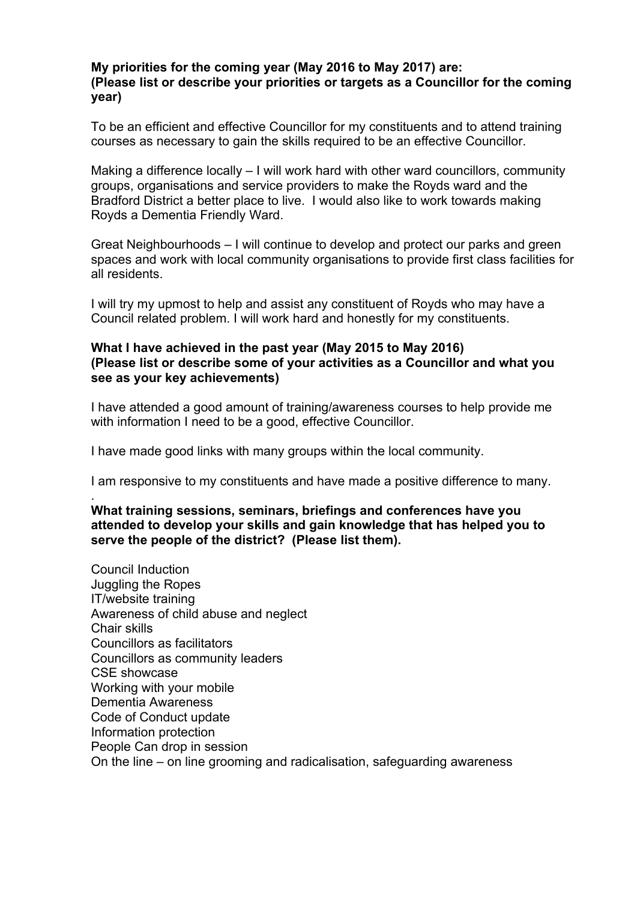### **My priorities for the coming year (May 2016 to May 2017) are: (Please list or describe your priorities or targets as a Councillor for the coming year)**

To be an efficient and effective Councillor for my constituents and to attend training courses as necessary to gain the skills required to be an effective Councillor.

Making a difference locally – I will work hard with other ward councillors, community groups, organisations and service providers to make the Royds ward and the Bradford District a better place to live. I would also like to work towards making Royds a Dementia Friendly Ward.

Great Neighbourhoods – I will continue to develop and protect our parks and green spaces and work with local community organisations to provide first class facilities for all residents.

I will try my upmost to help and assist any constituent of Royds who may have a Council related problem. I will work hard and honestly for my constituents.

### **What I have achieved in the past year (May 2015 to May 2016) (Please list or describe some of your activities as a Councillor and what you see as your key achievements)**

I have attended a good amount of training/awareness courses to help provide me with information I need to be a good, effective Councillor.

I have made good links with many groups within the local community.

I am responsive to my constituents and have made a positive difference to many.

### . **What training sessions, seminars, briefings and conferences have you attended to develop your skills and gain knowledge that has helped you to serve the people of the district? (Please list them).**

Council Induction Juggling the Ropes IT/website training Awareness of child abuse and neglect Chair skills Councillors as facilitators Councillors as community leaders CSE showcase Working with your mobile Dementia Awareness Code of Conduct update Information protection People Can drop in session On the line – on line grooming and radicalisation, safeguarding awareness